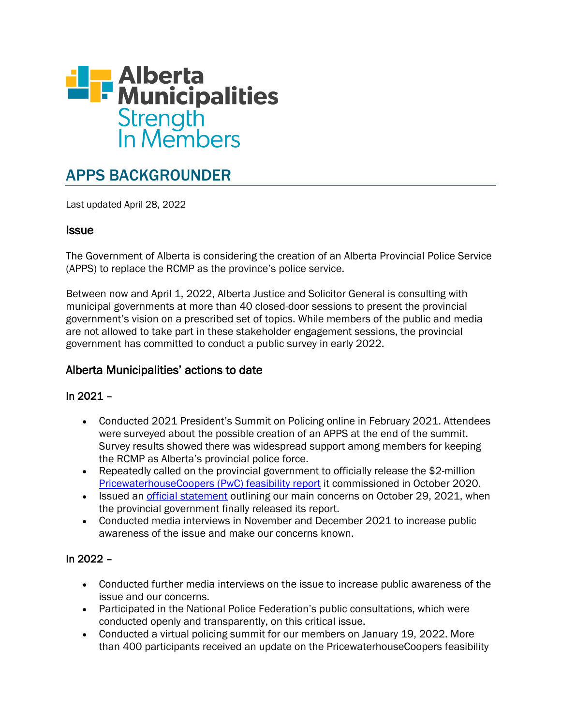

# APPS BACKGROUNDER

Last updated April 28, 2022

### Issue

The Government of Alberta is considering the creation of an Alberta Provincial Police Service (APPS) to replace the RCMP as the province's police service.

Between now and April 1, 2022, Alberta Justice and Solicitor General is consulting with municipal governments at more than 40 closed-door sessions to present the provincial government's vision on a prescribed set of topics. While members of the public and media are not allowed to take part in these stakeholder engagement sessions, the provincial government has committed to conduct a public survey in early 2022.

## Alberta Municipalities' actions to date

### In 2021 –

- Conducted 2021 President's Summit on Policing online in February 2021. Attendees were surveyed about the possible creation of an APPS at the end of the summit. Survey results showed there was widespread support among members for keeping the RCMP as Alberta's provincial police force.
- Repeatedly called on the provincial government to officially release the \$2-million [PricewaterhouseCoopers \(PwC\) feasibility report](https://open.alberta.ca/publications/apps-transition-study-final-report) it commissioned in October 2020.
- Issued an [official statement](https://www.abmunis.ca/system/files/2021-11/AUMA%20responds%20to%20release%20of%20PwC%20report%20on%20viability%20of%20provincial%20police%20service.pdf) outlining our main concerns on October 29, 2021, when the provincial government finally released its report.
- Conducted media interviews in November and December 2021 to increase public awareness of the issue and make our concerns known.

### In 2022 –

- Conducted further media interviews on the issue to increase public awareness of the issue and our concerns.
- Participated in the National Police Federation's public consultations, which were conducted openly and transparently, on this critical issue.
- Conducted a virtual policing summit for our members on January 19, 2022. More than 400 participants received an update on the PricewaterhouseCoopers feasibility